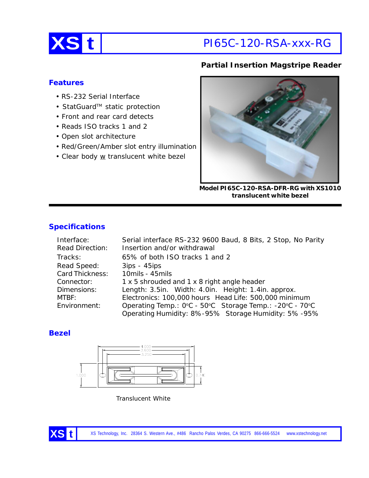

# **XS t** PI65C-120-RSA-xxx-RG

# **Partial Insertion Magstripe Reader**

## **Features**

- RS-232 Serial Interface
- StatGuard<sup>™</sup> static protection
- Front and rear card detects
- Reads ISO tracks 1 and 2
- Open slot architecture
- Red/Green/Amber slot entry illumination
- Clear body w translucent white bezel



**Model PI65C-120-RSA-DFR-RG with XS1010 translucent white bezel**

# **Specifications**

|                                      | u dristucci il vvi ille dezei                                                               |  |  |
|--------------------------------------|---------------------------------------------------------------------------------------------|--|--|
|                                      |                                                                                             |  |  |
|                                      |                                                                                             |  |  |
| pecifications                        |                                                                                             |  |  |
| Interface:<br><b>Read Direction:</b> | Serial interface RS-232 9600 Baud, 8 Bits, 2 Stop, No Parity<br>Insertion and/or withdrawal |  |  |
| Tracks:                              | 65% of both ISO tracks 1 and 2                                                              |  |  |
| Read Speed:                          | $3ips - 45ips$                                                                              |  |  |
| Card Thickness:                      | $10$ mils - $45$ mils                                                                       |  |  |
| Connector:                           | 1 x 5 shrouded and 1 x 8 right angle header                                                 |  |  |
| Dimensions:                          | Length: 3.5in. Width: 4.0in. Height: 1.4in. approx.                                         |  |  |
| MTBF:                                | Electronics: 100,000 hours Head Life: 500,000 minimum                                       |  |  |
| Environment:                         | Operating Temp.: 0°C - 50°C Storage Temp.: -20°C - 70°C                                     |  |  |
|                                      | Operating Humidity: 8%-95% Storage Humidity: 5%-95%                                         |  |  |

## **Bezel**



Translucent White